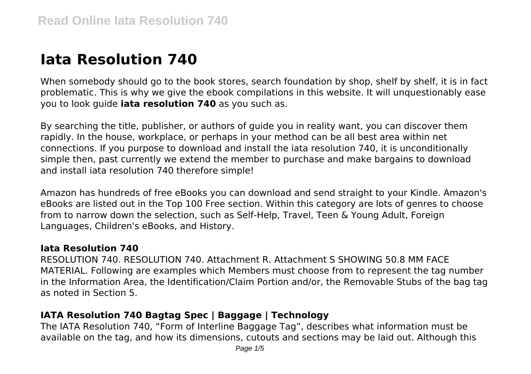# **Iata Resolution 740**

When somebody should go to the book stores, search foundation by shop, shelf by shelf, it is in fact problematic. This is why we give the ebook compilations in this website. It will unquestionably ease you to look guide **iata resolution 740** as you such as.

By searching the title, publisher, or authors of guide you in reality want, you can discover them rapidly. In the house, workplace, or perhaps in your method can be all best area within net connections. If you purpose to download and install the iata resolution 740, it is unconditionally simple then, past currently we extend the member to purchase and make bargains to download and install iata resolution 740 therefore simple!

Amazon has hundreds of free eBooks you can download and send straight to your Kindle. Amazon's eBooks are listed out in the Top 100 Free section. Within this category are lots of genres to choose from to narrow down the selection, such as Self-Help, Travel, Teen & Young Adult, Foreign Languages, Children's eBooks, and History.

#### **Iata Resolution 740**

RESOLUTION 740. RESOLUTION 740. Attachment R. Attachment S SHOWING 50.8 MM FACE MATERIAL. Following are examples which Members must choose from to represent the tag number in the Information Area, the Identification/Claim Portion and/or, the Removable Stubs of the bag tag as noted in Section 5.

# **IATA Resolution 740 Bagtag Spec | Baggage | Technology**

The IATA Resolution 740, "Form of Interline Baggage Tag", describes what information must be available on the tag, and how its dimensions, cutouts and sections may be laid out. Although this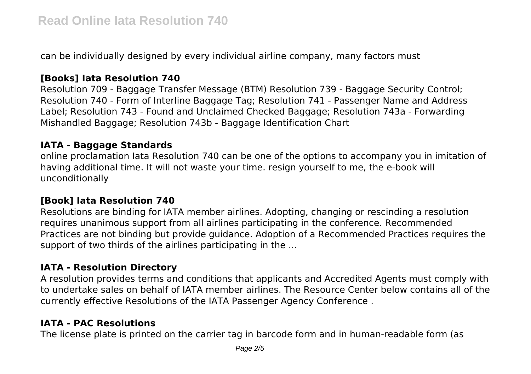can be individually designed by every individual airline company, many factors must

# **[Books] Iata Resolution 740**

Resolution 709 - Baggage Transfer Message (BTM) Resolution 739 - Baggage Security Control; Resolution 740 - Form of Interline Baggage Tag; Resolution 741 - Passenger Name and Address Label; Resolution 743 - Found and Unclaimed Checked Baggage; Resolution 743a - Forwarding Mishandled Baggage; Resolution 743b - Baggage Identification Chart

#### **IATA - Baggage Standards**

online proclamation Iata Resolution 740 can be one of the options to accompany you in imitation of having additional time. It will not waste your time. resign yourself to me, the e-book will unconditionally

## **[Book] Iata Resolution 740**

Resolutions are binding for IATA member airlines. Adopting, changing or rescinding a resolution requires unanimous support from all airlines participating in the conference. Recommended Practices are not binding but provide guidance. Adoption of a Recommended Practices requires the support of two thirds of the airlines participating in the ...

## **IATA - Resolution Directory**

A resolution provides terms and conditions that applicants and Accredited Agents must comply with to undertake sales on behalf of IATA member airlines. The Resource Center below contains all of the currently effective Resolutions of the IATA Passenger Agency Conference .

## **IATA - PAC Resolutions**

The license plate is printed on the carrier tag in barcode form and in human-readable form (as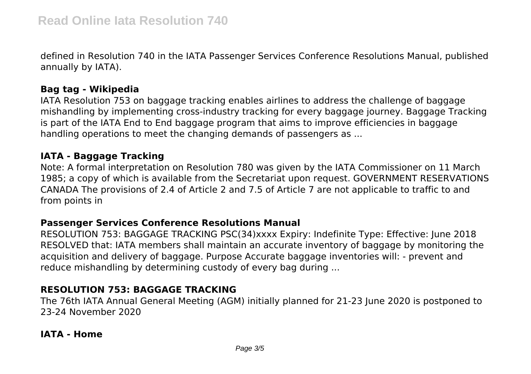defined in Resolution 740 in the IATA Passenger Services Conference Resolutions Manual, published annually by IATA).

## **Bag tag - Wikipedia**

IATA Resolution 753 on baggage tracking enables airlines to address the challenge of baggage mishandling by implementing cross-industry tracking for every baggage journey. Baggage Tracking is part of the IATA End to End baggage program that aims to improve efficiencies in baggage handling operations to meet the changing demands of passengers as ...

### **IATA - Baggage Tracking**

Note: A formal interpretation on Resolution 780 was given by the IATA Commissioner on 11 March 1985; a copy of which is available from the Secretariat upon request. GOVERNMENT RESERVATIONS CANADA The provisions of 2.4 of Article 2 and 7.5 of Article 7 are not applicable to traffic to and from points in

#### **Passenger Services Conference Resolutions Manual**

RESOLUTION 753: BAGGAGE TRACKING PSC(34)xxxx Expiry: Indefinite Type: Effective: June 2018 RESOLVED that: IATA members shall maintain an accurate inventory of baggage by monitoring the acquisition and delivery of baggage. Purpose Accurate baggage inventories will: - prevent and reduce mishandling by determining custody of every bag during ...

# **RESOLUTION 753: BAGGAGE TRACKING**

The 76th IATA Annual General Meeting (AGM) initially planned for 21-23 June 2020 is postponed to 23-24 November 2020

## **IATA - Home**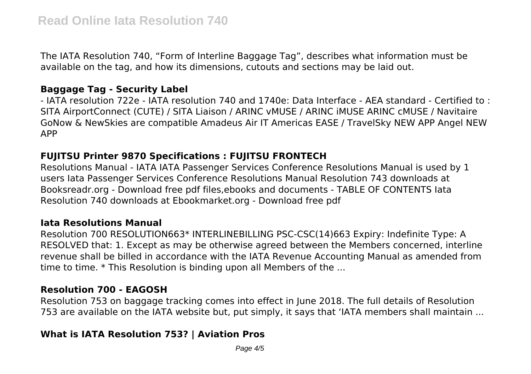The IATA Resolution 740, "Form of Interline Baggage Tag", describes what information must be available on the tag, and how its dimensions, cutouts and sections may be laid out.

#### **Baggage Tag - Security Label**

- IATA resolution 722e - IATA resolution 740 and 1740e: Data Interface - AEA standard - Certified to : SITA AirportConnect (CUTE) / SITA Liaison / ARINC vMUSE / ARINC iMUSE ARINC cMUSE / Navitaire GoNow & NewSkies are compatible Amadeus Air IT Americas EASE / TravelSky NEW APP Angel NEW APP

# **FUJITSU Printer 9870 Specifications : FUJITSU FRONTECH**

Resolutions Manual - IATA IATA Passenger Services Conference Resolutions Manual is used by 1 users Iata Passenger Services Conference Resolutions Manual Resolution 743 downloads at Booksreadr.org - Download free pdf files,ebooks and documents - TABLE OF CONTENTS Iata Resolution 740 downloads at Ebookmarket.org - Download free pdf

#### **Iata Resolutions Manual**

Resolution 700 RESOLUTION663\* INTERLINEBILLING PSC-CSC(14)663 Expiry: Indefinite Type: A RESOLVED that: 1. Except as may be otherwise agreed between the Members concerned, interline revenue shall be billed in accordance with the IATA Revenue Accounting Manual as amended from time to time. \* This Resolution is binding upon all Members of the ...

## **Resolution 700 - EAGOSH**

Resolution 753 on baggage tracking comes into effect in June 2018. The full details of Resolution 753 are available on the IATA website but, put simply, it says that 'IATA members shall maintain ...

# **What is IATA Resolution 753? | Aviation Pros**